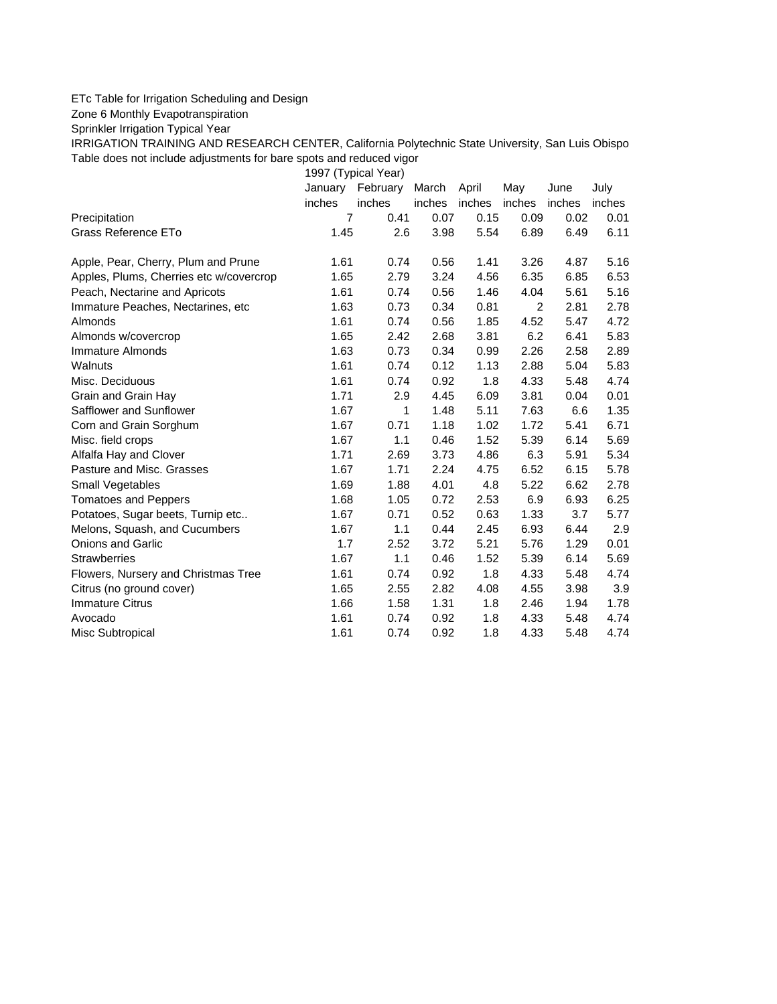## ETc Table for Irrigation Scheduling and Design

Zone 6 Monthly Evapotranspiration

Sprinkler Irrigation Typical Year

IRRIGATION TRAINING AND RESEARCH CENTER, California Polytechnic State University, San Luis Obispo Table does not include adjustments for bare spots and reduced vigor

1997 (Typical Year)

|                                         | January | February | March  | April  | May            | June   | July   |
|-----------------------------------------|---------|----------|--------|--------|----------------|--------|--------|
|                                         | inches  | inches   | inches | inches | inches         | inches | inches |
| Precipitation                           | 7       | 0.41     | 0.07   | 0.15   | 0.09           | 0.02   | 0.01   |
| Grass Reference ETo                     | 1.45    | 2.6      | 3.98   | 5.54   | 6.89           | 6.49   | 6.11   |
| Apple, Pear, Cherry, Plum and Prune     | 1.61    | 0.74     | 0.56   | 1.41   | 3.26           | 4.87   | 5.16   |
| Apples, Plums, Cherries etc w/covercrop | 1.65    | 2.79     | 3.24   | 4.56   | 6.35           | 6.85   | 6.53   |
| Peach, Nectarine and Apricots           | 1.61    | 0.74     | 0.56   | 1.46   | 4.04           | 5.61   | 5.16   |
| Immature Peaches, Nectarines, etc.      | 1.63    | 0.73     | 0.34   | 0.81   | $\overline{2}$ | 2.81   | 2.78   |
| Almonds                                 | 1.61    | 0.74     | 0.56   | 1.85   | 4.52           | 5.47   | 4.72   |
| Almonds w/covercrop                     | 1.65    | 2.42     | 2.68   | 3.81   | 6.2            | 6.41   | 5.83   |
| Immature Almonds                        | 1.63    | 0.73     | 0.34   | 0.99   | 2.26           | 2.58   | 2.89   |
| Walnuts                                 | 1.61    | 0.74     | 0.12   | 1.13   | 2.88           | 5.04   | 5.83   |
| Misc. Deciduous                         | 1.61    | 0.74     | 0.92   | 1.8    | 4.33           | 5.48   | 4.74   |
| Grain and Grain Hay                     | 1.71    | 2.9      | 4.45   | 6.09   | 3.81           | 0.04   | 0.01   |
| Safflower and Sunflower                 | 1.67    | 1        | 1.48   | 5.11   | 7.63           | 6.6    | 1.35   |
| Corn and Grain Sorghum                  | 1.67    | 0.71     | 1.18   | 1.02   | 1.72           | 5.41   | 6.71   |
| Misc. field crops                       | 1.67    | 1.1      | 0.46   | 1.52   | 5.39           | 6.14   | 5.69   |
| Alfalfa Hay and Clover                  | 1.71    | 2.69     | 3.73   | 4.86   | 6.3            | 5.91   | 5.34   |
| Pasture and Misc. Grasses               | 1.67    | 1.71     | 2.24   | 4.75   | 6.52           | 6.15   | 5.78   |
| Small Vegetables                        | 1.69    | 1.88     | 4.01   | 4.8    | 5.22           | 6.62   | 2.78   |
| <b>Tomatoes and Peppers</b>             | 1.68    | 1.05     | 0.72   | 2.53   | 6.9            | 6.93   | 6.25   |
| Potatoes, Sugar beets, Turnip etc       | 1.67    | 0.71     | 0.52   | 0.63   | 1.33           | 3.7    | 5.77   |
| Melons, Squash, and Cucumbers           | 1.67    | 1.1      | 0.44   | 2.45   | 6.93           | 6.44   | 2.9    |
| <b>Onions and Garlic</b>                | 1.7     | 2.52     | 3.72   | 5.21   | 5.76           | 1.29   | 0.01   |
| <b>Strawberries</b>                     | 1.67    | 1.1      | 0.46   | 1.52   | 5.39           | 6.14   | 5.69   |
| Flowers, Nursery and Christmas Tree     | 1.61    | 0.74     | 0.92   | 1.8    | 4.33           | 5.48   | 4.74   |
| Citrus (no ground cover)                | 1.65    | 2.55     | 2.82   | 4.08   | 4.55           | 3.98   | 3.9    |
| <b>Immature Citrus</b>                  | 1.66    | 1.58     | 1.31   | 1.8    | 2.46           | 1.94   | 1.78   |
| Avocado                                 | 1.61    | 0.74     | 0.92   | 1.8    | 4.33           | 5.48   | 4.74   |
| Misc Subtropical                        | 1.61    | 0.74     | 0.92   | 1.8    | 4.33           | 5.48   | 4.74   |